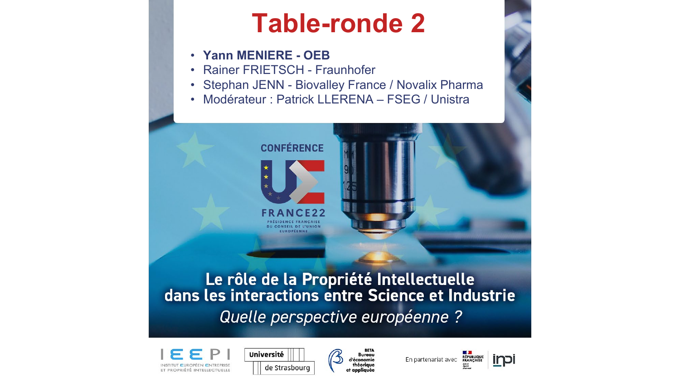### **Table-ronde 2**

- **Yann MENIERE - OEB**
- Rainer FRIETSCH Fraunhofer
- Stephan JENN Biovalley France / Novalix Pharma
- Modérateur : Patrick LLERENA FSEG / Unistra



## Le rôle de la Propriété Intellectuelle<br>dans les interactions entre Science et Industrie Quelle perspective européenne ?







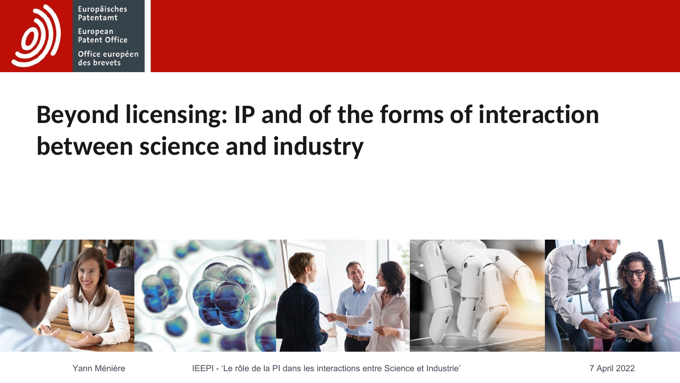

Europäisches Patentamt European Patent Office Office européen des brevets

# **Beyond licensing: IP and of the forms of interaction between science and industry**



Yann Ménière **IEEPI - 'Le rôle de la PI dans les interactions entre Science et Industrie'** 7 April 2022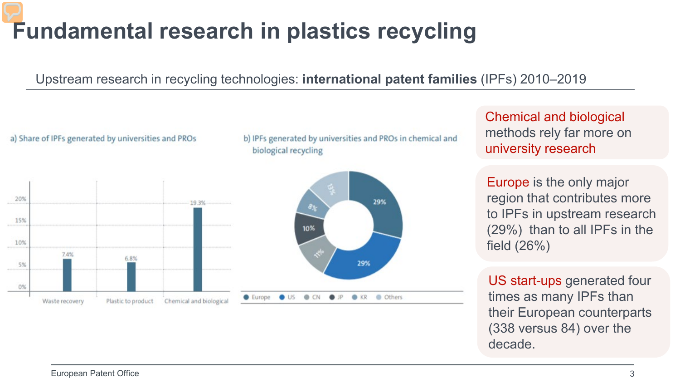### **Fundamental research in plastics recycling**

Upstream research in recycling technologies: **international patent families** (IPFs) 2010–2019



(338 versus 84) over the

decade.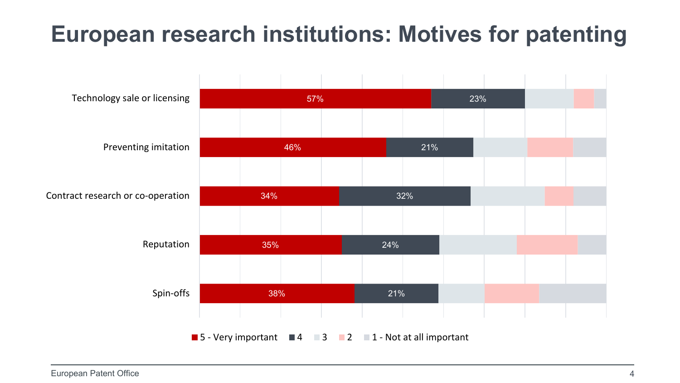#### **European research institutions: Motives for patenting**

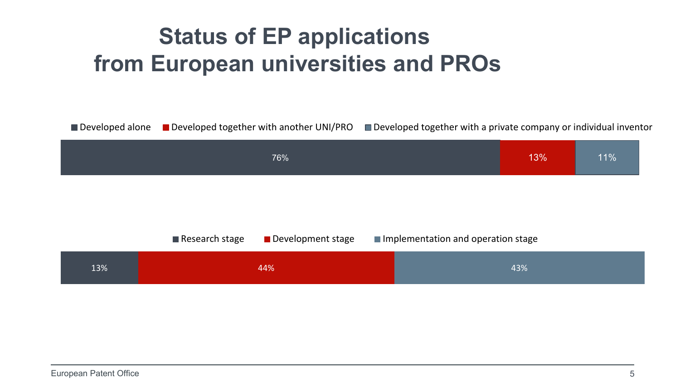#### **Status of EP applications from European universities and PROs**

Developed alone Developed together with another UNI/PRO Developed together with a private company or individual inventor



|     | ■ Development stage<br>$\blacksquare$ Research stage | Implementation and operation stage |  |
|-----|------------------------------------------------------|------------------------------------|--|
| 13% | 44%                                                  | 43%                                |  |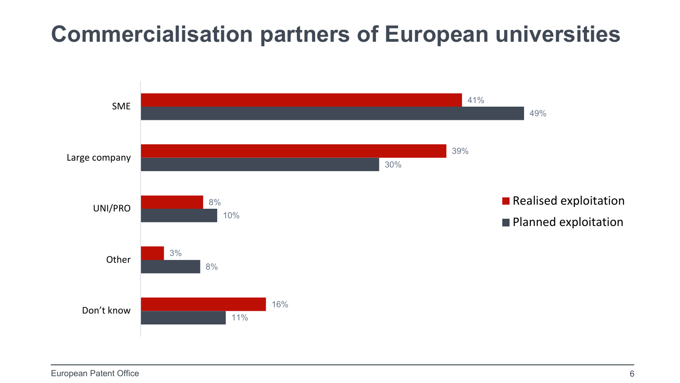#### **Commercialisation partners of European universities**

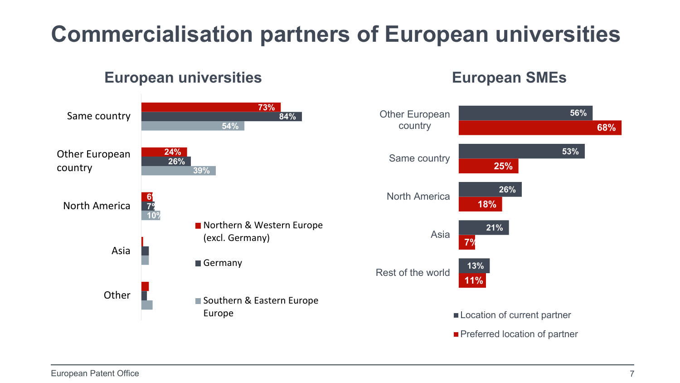### **Commercialisation partners of European universities**

#### **European universities**

#### **73% 24% 84% 26% 54% 39%** ■ Northern & Western Europe **18% 25% 21% 26% 53% 56%** North America Same country Other European country

**6% 1% 7% 3% 10%** Other European country North America Asia **Other** (excl. Germany) Germany Southern & Eastern Europe Europe **11% 7% 13%** Rest of the world Asia Location of current partner Preferred location of partner

Same country

**68%**

**European SMEs**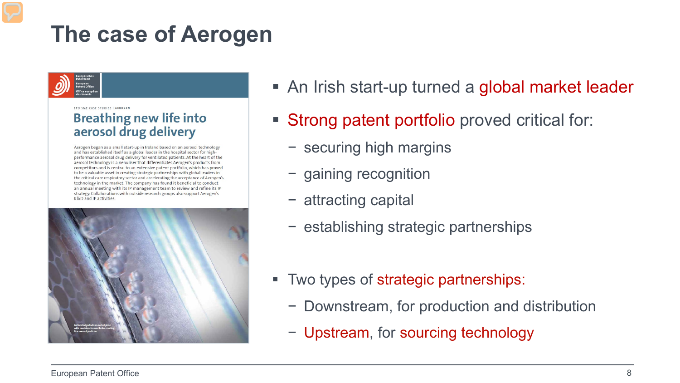#### **The case of Aerogen**



FRO SME CASE STUDIES | AFROGEN

#### **Breathing new life into** aerosol drug delivery

Aerogen began as a small start-up in Ireland based on an aerosol technology and has established itself as a global leader in the hospital sector for highperformance aerosol drug delivery for ventilated patients. At the heart of the aerosol technology is a nebuliser that differentiates Aerogen's products from competitors and is central to an extensive patent portfolio, which has proved to be a valuable asset in creating strategic partnerships with global leaders in the critical care respiratory sector and accelerating the acceptance of Aerogen's technology in the market. The company has found it beneficial to conduct an annual meeting with its IP management team to review and refine its IP strategy. Collaborations with outside research groups also support Aerogen's R&D and IP activities.



- An Irish start-up turned a global market leader
- Strong patent portfolio proved critical for:
	- − securing high margins
	- − gaining recognition
	- − attracting capital
	- − establishing strategic partnerships
- Two types of strategic partnerships:
	- − Downstream, for production and distribution
	- − Upstream, for sourcing technology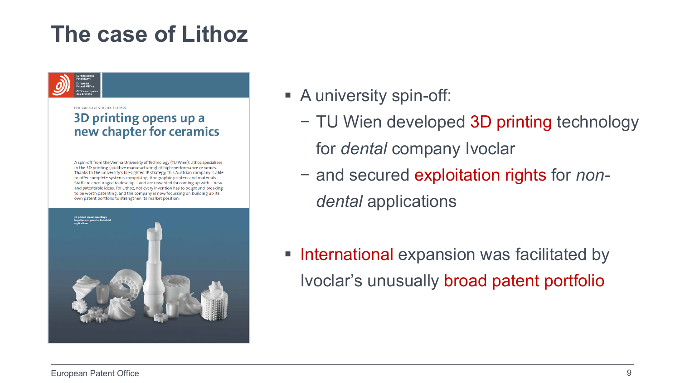#### **The case of Lithoz**

FRO SME CASE STUDIES | LITHOZ 3D printing opens up a new chapter for ceramics

A spin-off from the Vienna University of Technology (TU Wien), Lithoz specialises in the 3D printing (additive manufacturing) of high-performance ceramics. Thanks to the university's far-sighted IP strategy, this Austrian company is able to offer complete systems comprising lithographic printers and materials. Staff are encouraged to develop - and are rewarded for coming up with - new and patentable ideas. For Lithoz, not every invention has to be ground-breaking to be worth patenting, and the company is now focussing on building up its own patent portfolio to strengthen its market position.



- A university spin-off:
	- − TU Wien developed 3D printing technology for *dental* company Ivoclar
	- − and secured exploitation rights for *nondental* applications
- **International expansion was facilitated by** Ivoclar's unusually broad patent portfolio